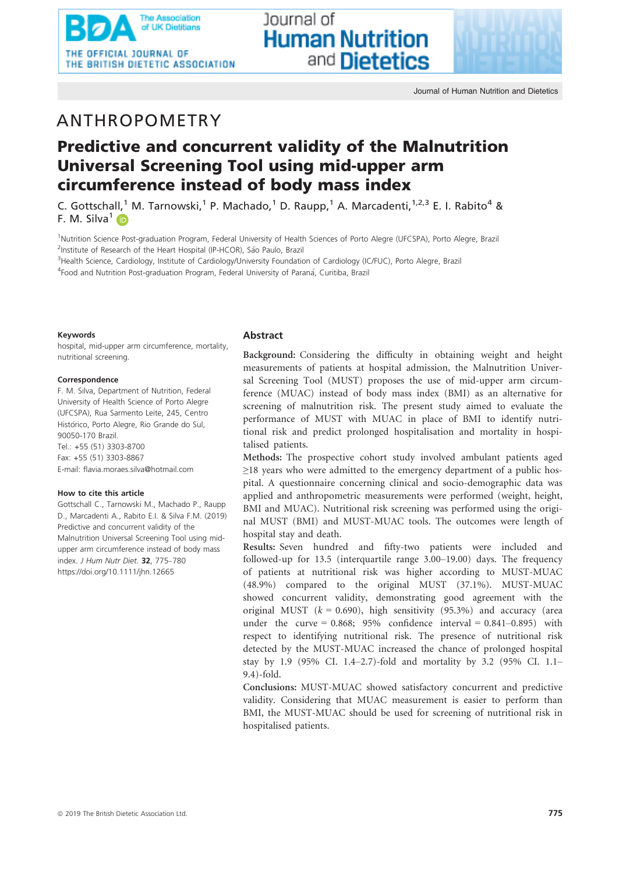

# ANTHROPOMETRY

# Predictive and concurrent validity of the Malnutrition Universal Screening Tool using mid-upper arm circumference instead of body mass index

lournal of

**Human Nutrition** 

and **Dietetics** 

C. Gottschall,<sup>1</sup> M. Tarnowski,<sup>1</sup> P. Machado,<sup>1</sup> D. Raupp,<sup>1</sup> A. Marcadenti,<sup>1,2,3</sup> E. I. Rabito<sup>4</sup> & F. M. Silva<sup>1</sup>

<sup>1</sup>Nutrition Science Post-graduation Program, Federal University of Health Sciences of Porto Alegre (UFCSPA), Porto Alegre, Brazil <sup>2</sup>Institute of Research of the Heart Hospital (IP-HCOR), São Paulo, Brazil

<sup>3</sup>Health Science, Cardiology, Institute of Cardiology/University Foundation of Cardiology (IC/FUC), Porto Alegre, Brazil <sup>4</sup>Food and Nutrition Post-graduation Program, Federal University of Paraná, Curitiba, Brazil

### Keywords

hospital, mid-upper arm circumference, mortality, nutritional screening.

#### Correspondence

F. M. Silva, Department of Nutrition, Federal University of Health Science of Porto Alegre (UFCSPA), Rua Sarmento Leite, 245, Centro Histórico, Porto Alegre, Rio Grande do Sul, 90050-170 Brazil. Tel.: +55 (51) 3303-8700 Fax: +55 (51) 3303-8867 E-mail: flavia.moraes.silva@hotmail.com

### How to cite this article

Gottschall C., Tarnowski M., Machado P., Raupp D., Marcadenti A., Rabito E.I. & Silva F.M. (2019) Predictive and concurrent validity of the Malnutrition Universal Screening Tool using midupper arm circumference instead of body mass index. J Hum Nutr Diet. 32, 775–780 https://doi.org/10.1111/jhn.12665

# Abstract

Background: Considering the difficulty in obtaining weight and height measurements of patients at hospital admission, the Malnutrition Universal Screening Tool (MUST) proposes the use of mid-upper arm circumference (MUAC) instead of body mass index (BMI) as an alternative for screening of malnutrition risk. The present study aimed to evaluate the performance of MUST with MUAC in place of BMI to identify nutritional risk and predict prolonged hospitalisation and mortality in hospitalised patients.

Methods: The prospective cohort study involved ambulant patients aged ≥18 years who were admitted to the emergency department of a public hospital. A questionnaire concerning clinical and socio-demographic data was applied and anthropometric measurements were performed (weight, height, BMI and MUAC). Nutritional risk screening was performed using the original MUST (BMI) and MUST-MUAC tools. The outcomes were length of hospital stay and death.

Results: Seven hundred and fifty-two patients were included and followed-up for 13.5 (interquartile range 3.00–19.00) days. The frequency of patients at nutritional risk was higher according to MUST-MUAC (48.9%) compared to the original MUST (37.1%). MUST-MUAC showed concurrent validity, demonstrating good agreement with the original MUST  $(k = 0.690)$ , high sensitivity (95.3%) and accuracy (area under the curve =  $0.868$ ;  $95\%$  confidence interval =  $0.841-0.895$ ) with respect to identifying nutritional risk. The presence of nutritional risk detected by the MUST-MUAC increased the chance of prolonged hospital stay by 1.9 (95% CI. 1.4–2.7)-fold and mortality by 3.2 (95% CI. 1.1– 9.4)-fold.

Conclusions: MUST-MUAC showed satisfactory concurrent and predictive validity. Considering that MUAC measurement is easier to perform than BMI, the MUST-MUAC should be used for screening of nutritional risk in hospitalised patients.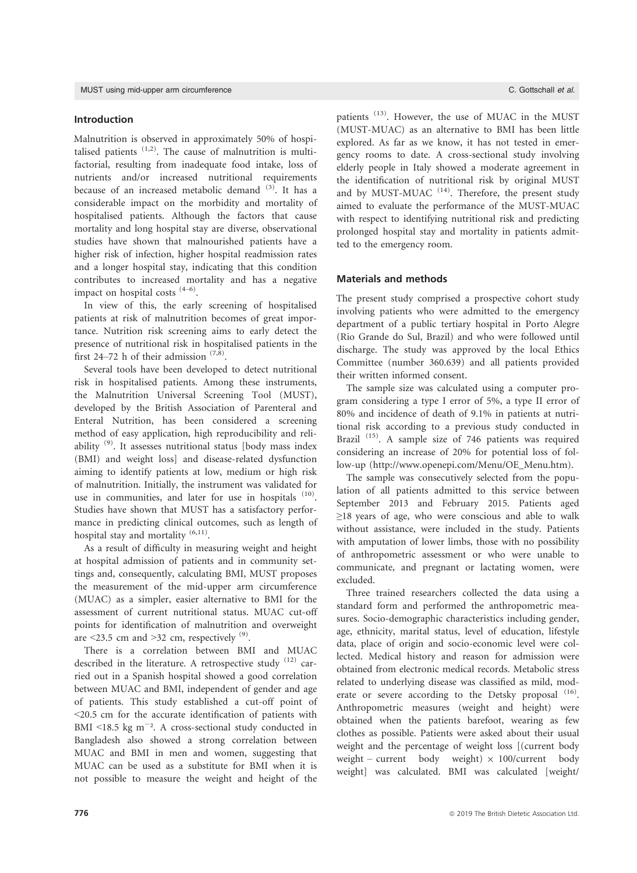## Introduction

Malnutrition is observed in approximately 50% of hospitalised patients  $(1,2)$ . The cause of malnutrition is multifactorial, resulting from inadequate food intake, loss of nutrients and/or increased nutritional requirements because of an increased metabolic demand  $(3)$ . It has a considerable impact on the morbidity and mortality of hospitalised patients. Although the factors that cause mortality and long hospital stay are diverse, observational studies have shown that malnourished patients have a higher risk of infection, higher hospital readmission rates and a longer hospital stay, indicating that this condition contributes to increased mortality and has a negative impact on hospital costs  $(4-6)$ .

In view of this, the early screening of hospitalised patients at risk of malnutrition becomes of great importance. Nutrition risk screening aims to early detect the presence of nutritional risk in hospitalised patients in the first 24–72 h of their admission  $(7,8)$ .

Several tools have been developed to detect nutritional risk in hospitalised patients. Among these instruments, the Malnutrition Universal Screening Tool (MUST), developed by the British Association of Parenteral and Enteral Nutrition, has been considered a screening method of easy application, high reproducibility and reliability (9). It assesses nutritional status [body mass index (BMI) and weight loss] and disease-related dysfunction aiming to identify patients at low, medium or high risk of malnutrition. Initially, the instrument was validated for use in communities, and later for use in hospitals  $(10)$ . Studies have shown that MUST has a satisfactory performance in predicting clinical outcomes, such as length of hospital stay and mortality  $(6,11)$ .

As a result of difficulty in measuring weight and height at hospital admission of patients and in community settings and, consequently, calculating BMI, MUST proposes the measurement of the mid-upper arm circumference (MUAC) as a simpler, easier alternative to BMI for the assessment of current nutritional status. MUAC cut-off points for identification of malnutrition and overweight are  $\leq$ 23.5 cm and  $\geq$ 32 cm, respectively  $^{(9)}$ .

There is a correlation between BMI and MUAC described in the literature. A retrospective study  $(12)$  carried out in a Spanish hospital showed a good correlation between MUAC and BMI, independent of gender and age of patients. This study established a cut-off point of <20.5 cm for the accurate identification of patients with BMI  $\leq$ 18.5 kg m<sup>-2</sup>. A cross-sectional study conducted in Bangladesh also showed a strong correlation between MUAC and BMI in men and women, suggesting that MUAC can be used as a substitute for BMI when it is not possible to measure the weight and height of the

patients<sup>(13)</sup>. However, the use of MUAC in the MUST (MUST-MUAC) as an alternative to BMI has been little explored. As far as we know, it has not tested in emergency rooms to date. A cross-sectional study involving elderly people in Italy showed a moderate agreement in the identification of nutritional risk by original MUST and by MUST-MUAC  $(14)$ . Therefore, the present study aimed to evaluate the performance of the MUST-MUAC with respect to identifying nutritional risk and predicting prolonged hospital stay and mortality in patients admitted to the emergency room.

## Materials and methods

The present study comprised a prospective cohort study involving patients who were admitted to the emergency department of a public tertiary hospital in Porto Alegre (Rio Grande do Sul, Brazil) and who were followed until discharge. The study was approved by the local Ethics Committee (number 360.639) and all patients provided their written informed consent.

The sample size was calculated using a computer program considering a type I error of 5%, a type II error of 80% and incidence of death of 9.1% in patients at nutritional risk according to a previous study conducted in Brazil<sup>(15)</sup>. A sample size of 746 patients was required considering an increase of 20% for potential loss of follow-up (http://www.openepi.com/Menu/OE\_Menu.htm).

The sample was consecutively selected from the population of all patients admitted to this service between September 2013 and February 2015. Patients aged ≥18 years of age, who were conscious and able to walk without assistance, were included in the study. Patients with amputation of lower limbs, those with no possibility of anthropometric assessment or who were unable to communicate, and pregnant or lactating women, were excluded.

Three trained researchers collected the data using a standard form and performed the anthropometric measures. Socio-demographic characteristics including gender, age, ethnicity, marital status, level of education, lifestyle data, place of origin and socio-economic level were collected. Medical history and reason for admission were obtained from electronic medical records. Metabolic stress related to underlying disease was classified as mild, moderate or severe according to the Detsky proposal <sup>(16)</sup>. Anthropometric measures (weight and height) were obtained when the patients barefoot, wearing as few clothes as possible. Patients were asked about their usual weight and the percentage of weight loss [(current body weight – current body weight)  $\times$  100/current body weight] was calculated. BMI was calculated [weight/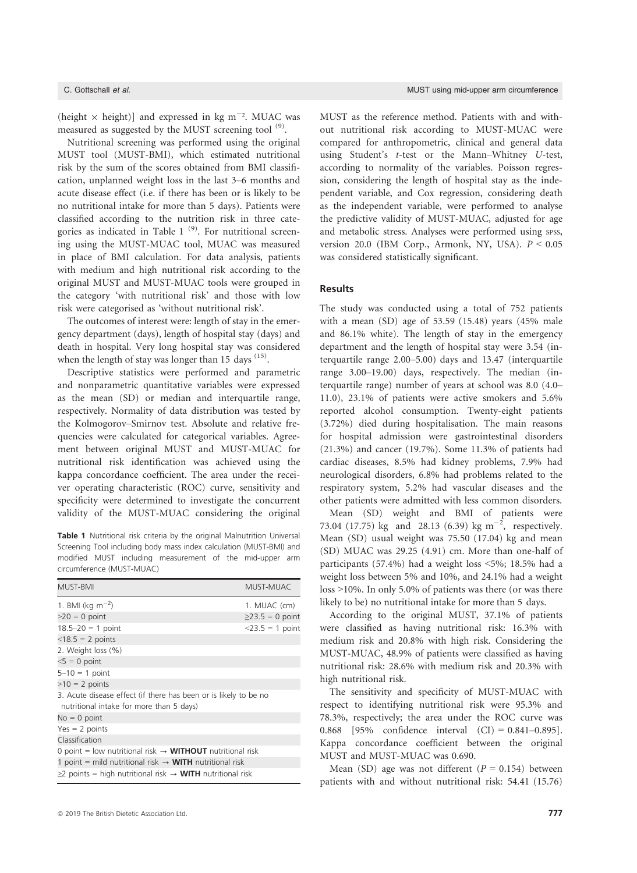(height  $\times$  height)] and expressed in kg m<sup>-2</sup>. MUAC was measured as suggested by the MUST screening tool <sup>(9)</sup>.

Nutritional screening was performed using the original MUST tool (MUST-BMI), which estimated nutritional risk by the sum of the scores obtained from BMI classification, unplanned weight loss in the last 3–6 months and acute disease effect (i.e. if there has been or is likely to be no nutritional intake for more than 5 days). Patients were classified according to the nutrition risk in three categories as indicated in Table 1 $(9)$ . For nutritional screening using the MUST-MUAC tool, MUAC was measured in place of BMI calculation. For data analysis, patients with medium and high nutritional risk according to the original MUST and MUST-MUAC tools were grouped in the category 'with nutritional risk' and those with low risk were categorised as 'without nutritional risk'.

The outcomes of interest were: length of stay in the emergency department (days), length of hospital stay (days) and death in hospital. Very long hospital stay was considered when the length of stay was longer than 15 days <sup>(15)</sup>.

Descriptive statistics were performed and parametric and nonparametric quantitative variables were expressed as the mean (SD) or median and interquartile range, respectively. Normality of data distribution was tested by the Kolmogorov–Smirnov test. Absolute and relative frequencies were calculated for categorical variables. Agreement between original MUST and MUST-MUAC for nutritional risk identification was achieved using the kappa concordance coefficient. The area under the receiver operating characteristic (ROC) curve, sensitivity and specificity were determined to investigate the concurrent validity of the MUST-MUAC considering the original

Table 1 Nutritional risk criteria by the original Malnutrition Universal Screening Tool including body mass index calculation (MUST-BMI) and modified MUST including measurement of the mid-upper arm circumference (MUST-MUAC)

| MUST-BMI                                                                                                     | MUST-MUAC          |  |  |  |
|--------------------------------------------------------------------------------------------------------------|--------------------|--|--|--|
| 1. BMI (kg $m^{-2}$ )                                                                                        | 1. MUAC (cm)       |  |  |  |
| $>20 = 0$ point                                                                                              | $≥23.5 = 0$ point  |  |  |  |
| $18.5 - 20 = 1$ point                                                                                        | $<$ 23.5 = 1 point |  |  |  |
| $<$ 18.5 = 2 points                                                                                          |                    |  |  |  |
| 2. Weight loss (%)                                                                                           |                    |  |  |  |
| $5 = 0$ point                                                                                                |                    |  |  |  |
| $5 - 10 = 1$ point                                                                                           |                    |  |  |  |
| $>10 = 2$ points                                                                                             |                    |  |  |  |
| 3. Acute disease effect (if there has been or is likely to be no<br>nutritional intake for more than 5 days) |                    |  |  |  |
| $No = 0$ point                                                                                               |                    |  |  |  |
| $Yes = 2 points$                                                                                             |                    |  |  |  |
| Classification                                                                                               |                    |  |  |  |
| 0 point = low nutritional risk $\rightarrow$ <b>WITHOUT</b> nutritional risk                                 |                    |  |  |  |
| 1 point = mild nutritional risk $\rightarrow$ WITH nutritional risk                                          |                    |  |  |  |
| $\geq$ 2 points = high nutritional risk $\rightarrow$ WITH nutritional risk                                  |                    |  |  |  |

MUST as the reference method. Patients with and without nutritional risk according to MUST-MUAC were compared for anthropometric, clinical and general data using Student's t-test or the Mann–Whitney U-test, according to normality of the variables. Poisson regression, considering the length of hospital stay as the independent variable, and Cox regression, considering death as the independent variable, were performed to analyse the predictive validity of MUST-MUAC, adjusted for age and metabolic stress. Analyses were performed using SPSS, version 20.0 (IBM Corp., Armonk, NY, USA).  $P < 0.05$ was considered statistically significant.

## Results

The study was conducted using a total of 752 patients with a mean (SD) age of 53.59 (15.48) years (45% male and 86.1% white). The length of stay in the emergency department and the length of hospital stay were 3.54 (interquartile range 2.00–5.00) days and 13.47 (interquartile range 3.00–19.00) days, respectively. The median (interquartile range) number of years at school was 8.0 (4.0– 11.0), 23.1% of patients were active smokers and 5.6% reported alcohol consumption. Twenty-eight patients (3.72%) died during hospitalisation. The main reasons for hospital admission were gastrointestinal disorders (21.3%) and cancer (19.7%). Some 11.3% of patients had cardiac diseases, 8.5% had kidney problems, 7.9% had neurological disorders, 6.8% had problems related to the respiratory system, 5.2% had vascular diseases and the other patients were admitted with less common disorders.

Mean (SD) weight and BMI of patients were 73.04 (17.75) kg and 28.13 (6.39) kg m<sup>-2</sup>, respectively. Mean (SD) usual weight was 75.50 (17.04) kg and mean (SD) MUAC was 29.25 (4.91) cm. More than one-half of participants (57.4%) had a weight loss <5%; 18.5% had a weight loss between 5% and 10%, and 24.1% had a weight loss >10%. In only 5.0% of patients was there (or was there likely to be) no nutritional intake for more than 5 days.

According to the original MUST, 37.1% of patients were classified as having nutritional risk: 16.3% with medium risk and 20.8% with high risk. Considering the MUST-MUAC, 48.9% of patients were classified as having nutritional risk: 28.6% with medium risk and 20.3% with high nutritional risk.

The sensitivity and specificity of MUST-MUAC with respect to identifying nutritional risk were 95.3% and 78.3%, respectively; the area under the ROC curve was 0.868 [95% confidence interval (CI) = 0.841–0.895]. Kappa concordance coefficient between the original MUST and MUST-MUAC was 0.690.

Mean (SD) age was not different ( $P = 0.154$ ) between patients with and without nutritional risk: 54.41 (15.76)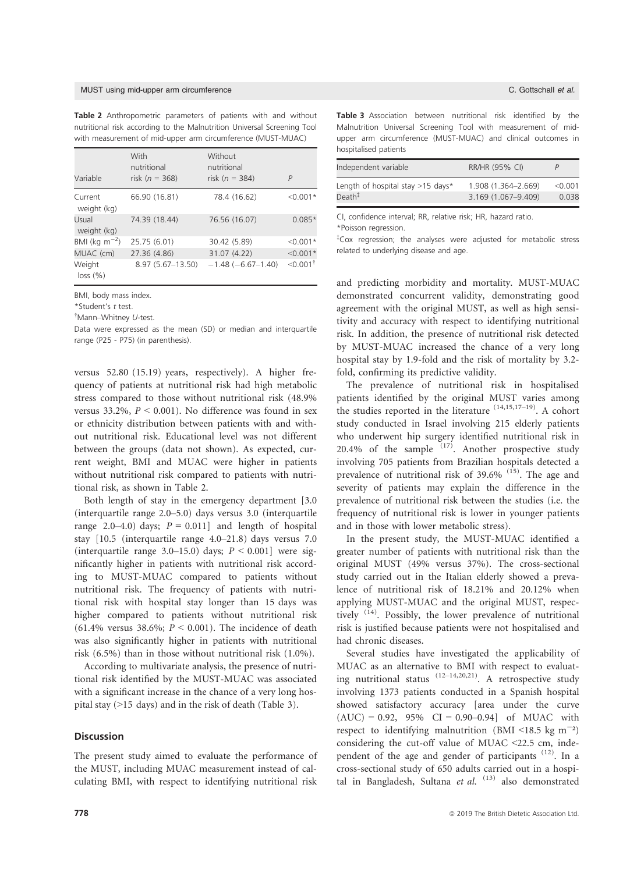#### MUST using mid-upper arm circumference C. Gottschall et al.

Table 2 Anthropometric parameters of patients with and without nutritional risk according to the Malnutrition Universal Screening Tool with measurement of mid-upper arm circumference (MUST-MUAC)

| Variable               | With<br>nutritional<br>risk ( $n = 368$ ) | Without<br>nutritional<br>risk ( $n = 384$ ) | $\overline{P}$         |
|------------------------|-------------------------------------------|----------------------------------------------|------------------------|
| Current<br>weight (kg) | 66.90 (16.81)                             | 78.4 (16.62)                                 | $< 0.001*$             |
| Usual<br>weight (kg)   | 74.39 (18.44)                             | 76.56 (16.07)                                | $0.085*$               |
| BMI (kg $m^{-2}$ )     | 25.75 (6.01)                              | 30.42 (5.89)                                 | $< 0.001*$             |
| MUAC (cm)              | 27.36 (4.86)                              | 31.07 (4.22)                                 | $< 0.001*$             |
| Weight<br>loss (%)     | $8.97(5.67 - 13.50)$                      | $-1.48$ ( $-6.67-1.40$ )                     | $\leq 0.001^{\dagger}$ |

BMI, body mass index.

\*Student's t test.

† Mann–Whitney U-test.

Data were expressed as the mean (SD) or median and interquartile range (P25 - P75) (in parenthesis).

versus 52.80 (15.19) years, respectively). A higher frequency of patients at nutritional risk had high metabolic stress compared to those without nutritional risk (48.9% versus 33.2%,  $P < 0.001$ ). No difference was found in sex or ethnicity distribution between patients with and without nutritional risk. Educational level was not different between the groups (data not shown). As expected, current weight, BMI and MUAC were higher in patients without nutritional risk compared to patients with nutritional risk, as shown in Table 2.

Both length of stay in the emergency department [3.0 (interquartile range 2.0–5.0) days versus 3.0 (interquartile range 2.0–4.0) days;  $P = 0.011$ ] and length of hospital stay [10.5 (interquartile range 4.0–21.8) days versus 7.0 (interquartile range 3.0–15.0) days;  $P < 0.001$ ] were significantly higher in patients with nutritional risk according to MUST-MUAC compared to patients without nutritional risk. The frequency of patients with nutritional risk with hospital stay longer than 15 days was higher compared to patients without nutritional risk (61.4% versus 38.6%;  $P < 0.001$ ). The incidence of death was also significantly higher in patients with nutritional risk (6.5%) than in those without nutritional risk (1.0%).

According to multivariate analysis, the presence of nutritional risk identified by the MUST-MUAC was associated with a significant increase in the chance of a very long hospital stay (>15 days) and in the risk of death (Table 3).

## Discussion

The present study aimed to evaluate the performance of the MUST, including MUAC measurement instead of calculating BMI, with respect to identifying nutritional risk

Table 3 Association between nutritional risk identified by the Malnutrition Universal Screening Tool with measurement of midupper arm circumference (MUST-MUAC) and clinical outcomes in hospitalised patients

| Independent variable                | RR/HR (95% CI)      | P       |
|-------------------------------------|---------------------|---------|
| Length of hospital stay $>15$ days* | 1.908 (1.364-2.669) | < 0.001 |
| Death‡                              | 3.169 (1.067-9.409) | 0.038   |

CI, confidence interval; RR, relative risk; HR, hazard ratio.

\*Poisson regression.

‡ Cox regression; the analyses were adjusted for metabolic stress related to underlying disease and age.

and predicting morbidity and mortality. MUST-MUAC demonstrated concurrent validity, demonstrating good agreement with the original MUST, as well as high sensitivity and accuracy with respect to identifying nutritional risk. In addition, the presence of nutritional risk detected by MUST-MUAC increased the chance of a very long hospital stay by 1.9-fold and the risk of mortality by 3.2 fold, confirming its predictive validity.

The prevalence of nutritional risk in hospitalised patients identified by the original MUST varies among the studies reported in the literature  $(14,15,17-19)$ . A cohort study conducted in Israel involving 215 elderly patients who underwent hip surgery identified nutritional risk in 20.4% of the sample  $(17)$ . Another prospective study involving 705 patients from Brazilian hospitals detected a prevalence of nutritional risk of  $39.6\%$  <sup>(15)</sup>. The age and severity of patients may explain the difference in the prevalence of nutritional risk between the studies (i.e. the frequency of nutritional risk is lower in younger patients and in those with lower metabolic stress).

In the present study, the MUST-MUAC identified a greater number of patients with nutritional risk than the original MUST (49% versus 37%). The cross-sectional study carried out in the Italian elderly showed a prevalence of nutritional risk of 18.21% and 20.12% when applying MUST-MUAC and the original MUST, respectively <sup>(14)</sup>. Possibly, the lower prevalence of nutritional risk is justified because patients were not hospitalised and had chronic diseases.

Several studies have investigated the applicability of MUAC as an alternative to BMI with respect to evaluating nutritional status  $(12-14,20,21)$ . A retrospective study involving 1373 patients conducted in a Spanish hospital showed satisfactory accuracy [area under the curve  $(AUC) = 0.92$ , 95%  $CI = 0.90 - 0.94$  of MUAC with respect to identifying malnutrition (BMI <18.5 kg  $m^{-2}$ ) considering the cut-off value of MUAC  $\leq$ 22.5 cm, independent of the age and gender of participants<sup>(12)</sup>. In a cross-sectional study of 650 adults carried out in a hospital in Bangladesh, Sultana et al.  $(13)$  also demonstrated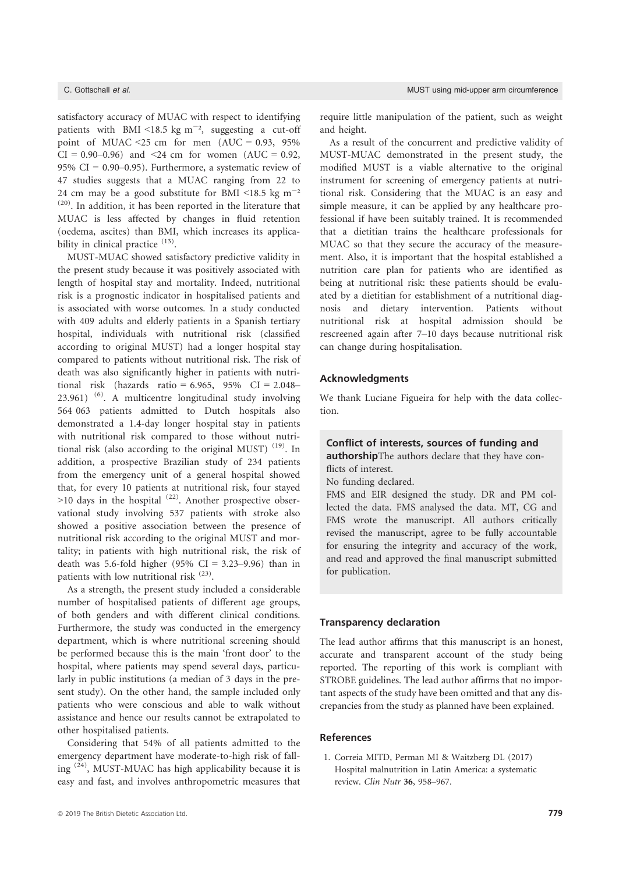satisfactory accuracy of MUAC with respect to identifying patients with BMI <18.5 kg  $m^{-2}$ , suggesting a cut-off point of MUAC <25 cm for men  $(AUC = 0.93, 95\%$  $CI = 0.90 - 0.96$  and  $\leq 24$  cm for women (AUC = 0.92, 95% CI =  $0.90-0.95$ ). Furthermore, a systematic review of 47 studies suggests that a MUAC ranging from 22 to 24 cm may be a good substitute for BMI <18.5 kg  $m^{-2}$ (20). In addition, it has been reported in the literature that MUAC is less affected by changes in fluid retention (oedema, ascites) than BMI, which increases its applicability in clinical practice <sup>(13)</sup>.

MUST-MUAC showed satisfactory predictive validity in the present study because it was positively associated with length of hospital stay and mortality. Indeed, nutritional risk is a prognostic indicator in hospitalised patients and is associated with worse outcomes. In a study conducted with 409 adults and elderly patients in a Spanish tertiary hospital, individuals with nutritional risk (classified according to original MUST) had a longer hospital stay compared to patients without nutritional risk. The risk of death was also significantly higher in patients with nutritional risk (hazards ratio = 6.965, 95% CI = 2.048– 23.961) (6). A multicentre longitudinal study involving 564 063 patients admitted to Dutch hospitals also demonstrated a 1.4-day longer hospital stay in patients with nutritional risk compared to those without nutritional risk (also according to the original MUST)  $(19)$ . In addition, a prospective Brazilian study of 234 patients from the emergency unit of a general hospital showed that, for every 10 patients at nutritional risk, four stayed  $>10$  days in the hospital  $(22)$ . Another prospective observational study involving 537 patients with stroke also showed a positive association between the presence of nutritional risk according to the original MUST and mortality; in patients with high nutritional risk, the risk of death was 5.6-fold higher (95% CI =  $3.23-9.96$ ) than in patients with low nutritional risk <sup>(23)</sup>.

As a strength, the present study included a considerable number of hospitalised patients of different age groups, of both genders and with different clinical conditions. Furthermore, the study was conducted in the emergency department, which is where nutritional screening should be performed because this is the main 'front door' to the hospital, where patients may spend several days, particularly in public institutions (a median of 3 days in the present study). On the other hand, the sample included only patients who were conscious and able to walk without assistance and hence our results cannot be extrapolated to other hospitalised patients.

Considering that 54% of all patients admitted to the emergency department have moderate-to-high risk of falling (24), MUST-MUAC has high applicability because it is easy and fast, and involves anthropometric measures that

require little manipulation of the patient, such as weight and height.

As a result of the concurrent and predictive validity of MUST-MUAC demonstrated in the present study, the modified MUST is a viable alternative to the original instrument for screening of emergency patients at nutritional risk. Considering that the MUAC is an easy and simple measure, it can be applied by any healthcare professional if have been suitably trained. It is recommended that a dietitian trains the healthcare professionals for MUAC so that they secure the accuracy of the measurement. Also, it is important that the hospital established a nutrition care plan for patients who are identified as being at nutritional risk: these patients should be evaluated by a dietitian for establishment of a nutritional diagnosis and dietary intervention. Patients without nutritional risk at hospital admission should be rescreened again after 7–10 days because nutritional risk can change during hospitalisation.

## Acknowledgments

We thank Luciane Figueira for help with the data collection.

# Conflict of interests, sources of funding and

authorshipThe authors declare that they have conflicts of interest.

No funding declared.

FMS and EIR designed the study. DR and PM collected the data. FMS analysed the data. MT, CG and FMS wrote the manuscript. All authors critically revised the manuscript, agree to be fully accountable for ensuring the integrity and accuracy of the work, and read and approved the final manuscript submitted for publication.

## Transparency declaration

The lead author affirms that this manuscript is an honest, accurate and transparent account of the study being reported. The reporting of this work is compliant with STROBE guidelines. The lead author affirms that no important aspects of the study have been omitted and that any discrepancies from the study as planned have been explained.

## References

1. Correia MITD, Perman MI & Waitzberg DL (2017) Hospital malnutrition in Latin America: a systematic review. Clin Nutr 36, 958–967.